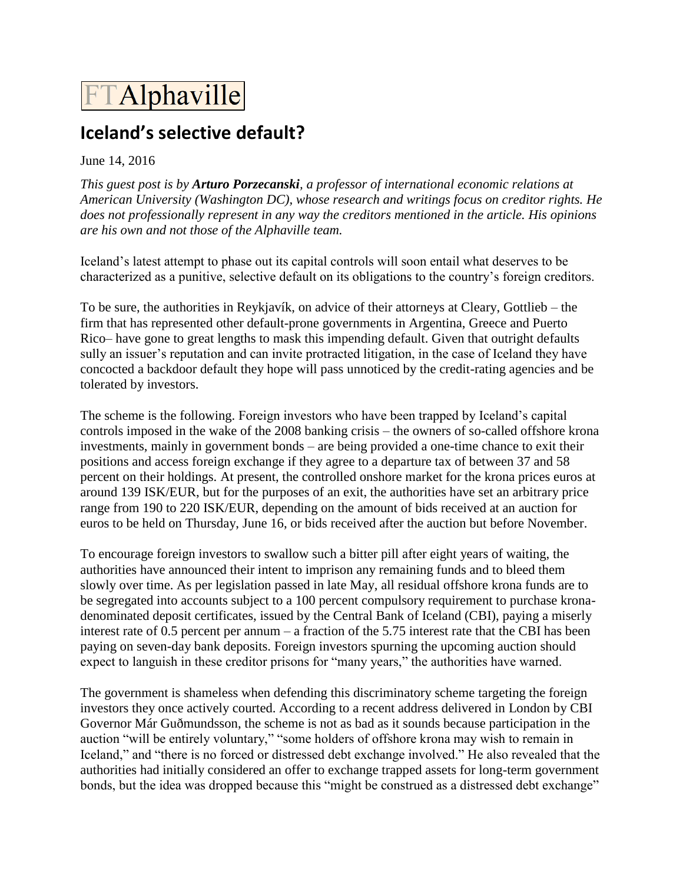## **FTAlphaville**

## **Iceland's selective default?**

## June 14, 2016

*This guest post is by Arturo Porzecanski, a professor of international economic relations at American University (Washington DC), whose research and writings focus on creditor rights. He does not professionally represent in any way the creditors mentioned in the article. His opinions are his own and not those of the Alphaville team.* 

Iceland's latest attempt to phase out its capital controls will soon entail what deserves to be characterized as a punitive, selective default on its obligations to the country's foreign creditors.

To be sure, the authorities in Reykjavík, on advice of their attorneys at Cleary, Gottlieb – the firm that has represented other default-prone governments in Argentina, Greece and Puerto Rico– have gone to great lengths to mask this impending default. Given that outright defaults sully an issuer's reputation and can invite protracted litigation, in the case of Iceland they have concocted a backdoor default they hope will pass unnoticed by the credit-rating agencies and be tolerated by investors.

The scheme is the following. Foreign investors who have been trapped by Iceland's capital controls imposed in the wake of the 2008 banking crisis – the owners of so-called offshore krona investments, mainly in government bonds – are being provided a one-time chance to exit their positions and access foreign exchange if they agree to a departure tax of between 37 and 58 percent on their holdings. At present, the controlled onshore market for the krona prices euros at around 139 ISK/EUR, but for the purposes of an exit, the authorities have set an arbitrary price range from 190 to 220 ISK/EUR, depending on the amount of bids received at an auction for euros to be held on Thursday, June 16, or bids received after the auction but before November.

To encourage foreign investors to swallow such a bitter pill after eight years of waiting, the authorities have announced their intent to imprison any remaining funds and to bleed them slowly over time. As per legislation passed in late May, all residual offshore krona funds are to be segregated into accounts subject to a 100 percent compulsory requirement to purchase kronadenominated deposit certificates, issued by the Central Bank of Iceland (CBI), paying a miserly interest rate of 0.5 percent per annum – a fraction of the 5.75 interest rate that the CBI has been paying on seven-day bank deposits. Foreign investors spurning the upcoming auction should expect to languish in these creditor prisons for "many years," the authorities have warned.

The government is shameless when defending this discriminatory scheme targeting the foreign investors they once actively courted. According to a recent address delivered in London by CBI Governor Már Guðmundsson, the scheme is not as bad as it sounds because participation in the auction "will be entirely voluntary," "some holders of offshore krona may wish to remain in Iceland," and "there is no forced or distressed debt exchange involved." He also revealed that the authorities had initially considered an offer to exchange trapped assets for long-term government bonds, but the idea was dropped because this "might be construed as a distressed debt exchange"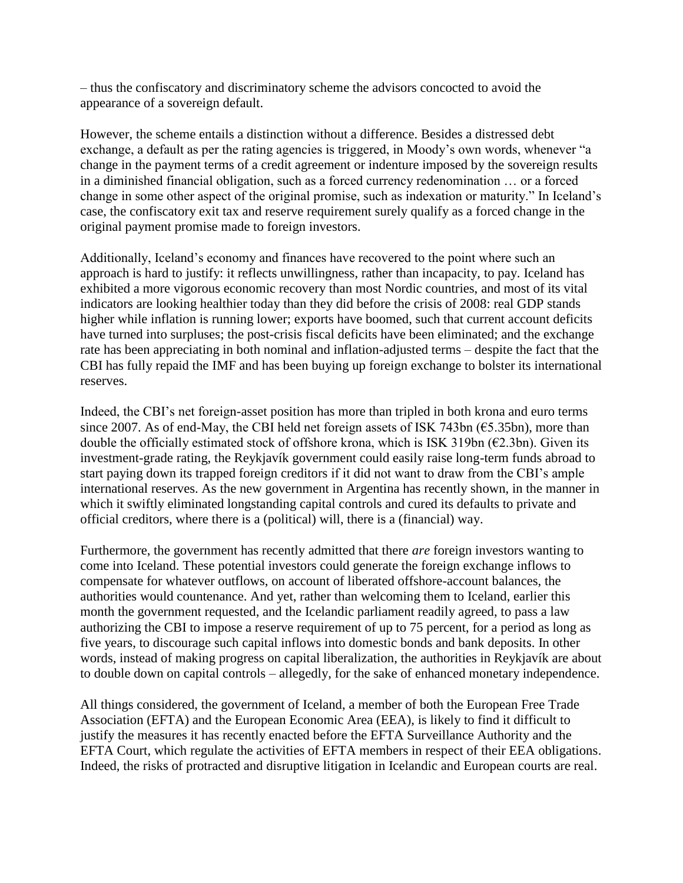– thus the confiscatory and discriminatory scheme the advisors concocted to avoid the appearance of a sovereign default.

However, the scheme entails a distinction without a difference. Besides a distressed debt exchange, a default as per the rating agencies is triggered, in Moody's own words, whenever "a change in the payment terms of a credit agreement or indenture imposed by the sovereign results in a diminished financial obligation, such as a forced currency redenomination … or a forced change in some other aspect of the original promise, such as indexation or maturity." In Iceland's case, the confiscatory exit tax and reserve requirement surely qualify as a forced change in the original payment promise made to foreign investors.

Additionally, Iceland's economy and finances have recovered to the point where such an approach is hard to justify: it reflects unwillingness, rather than incapacity, to pay. Iceland has exhibited a more vigorous economic recovery than most Nordic countries, and most of its vital indicators are looking healthier today than they did before the crisis of 2008: real GDP stands higher while inflation is running lower; exports have boomed, such that current account deficits have turned into surpluses; the post-crisis fiscal deficits have been eliminated; and the exchange rate has been appreciating in both nominal and inflation-adjusted terms – despite the fact that the CBI has fully repaid the IMF and has been buying up foreign exchange to bolster its international reserves.

Indeed, the CBI's net foreign-asset position has more than tripled in both krona and euro terms since 2007. As of end-May, the CBI held net foreign assets of ISK 743bn (€5.35bn), more than double the officially estimated stock of offshore krona, which is ISK 319bn ( $\epsilon$ 2.3bn). Given its investment-grade rating, the Reykjavík government could easily raise long-term funds abroad to start paying down its trapped foreign creditors if it did not want to draw from the CBI's ample international reserves. As the new government in Argentina has recently shown, in the manner in which it swiftly eliminated longstanding capital controls and cured its defaults to private and official creditors, where there is a (political) will, there is a (financial) way.

Furthermore, the government has recently admitted that there *are* foreign investors wanting to come into Iceland. These potential investors could generate the foreign exchange inflows to compensate for whatever outflows, on account of liberated offshore-account balances, the authorities would countenance. And yet, rather than welcoming them to Iceland, earlier this month the government requested, and the Icelandic parliament readily agreed, to pass a law authorizing the CBI to impose a reserve requirement of up to 75 percent, for a period as long as five years, to discourage such capital inflows into domestic bonds and bank deposits. In other words, instead of making progress on capital liberalization, the authorities in Reykjavík are about to double down on capital controls – allegedly, for the sake of enhanced monetary independence.

All things considered, the government of Iceland, a member of both the European Free Trade Association (EFTA) and the European Economic Area (EEA), is likely to find it difficult to justify the measures it has recently enacted before the EFTA Surveillance Authority and the EFTA Court, which regulate the activities of EFTA members in respect of their EEA obligations. Indeed, the risks of protracted and disruptive litigation in Icelandic and European courts are real.